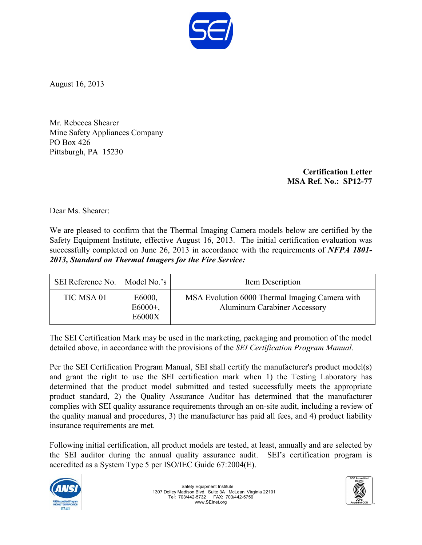

August 16, 2013

Mr. Rebecca Shearer Mine Safety Appliances Company PO Box 426 Pittsburgh, PA 15230

> **Certification Letter MSA Ref. No.: SP12-77**

Dear Ms. Shearer:

We are pleased to confirm that the Thermal Imaging Camera models below are certified by the Safety Equipment Institute, effective August 16, 2013. The initial certification evaluation was successfully completed on June 26, 2013 in accordance with the requirements of *NFPA 1801- 2013, Standard on Thermal Imagers for the Fire Service:*

| SEI Reference No.   Model No.'s |                                | Item Description                                                                      |
|---------------------------------|--------------------------------|---------------------------------------------------------------------------------------|
| TIC MSA 01                      | E6000,<br>$E6000+$ ,<br>E6000X | MSA Evolution 6000 Thermal Imaging Camera with<br><b>Aluminum Carabiner Accessory</b> |

The SEI Certification Mark may be used in the marketing, packaging and promotion of the model detailed above, in accordance with the provisions of the *SEI Certification Program Manual*.

Per the SEI Certification Program Manual, SEI shall certify the manufacturer's product model(s) and grant the right to use the SEI certification mark when 1) the Testing Laboratory has determined that the product model submitted and tested successfully meets the appropriate product standard, 2) the Quality Assurance Auditor has determined that the manufacturer complies with SEI quality assurance requirements through an on-site audit, including a review of the quality manual and procedures, 3) the manufacturer has paid all fees, and 4) product liability insurance requirements are met.

Following initial certification, all product models are tested, at least, annually and are selected by the SEI auditor during the annual quality assurance audit. SEI's certification program is accredited as a System Type 5 per ISO/IEC Guide 67:2004(E).